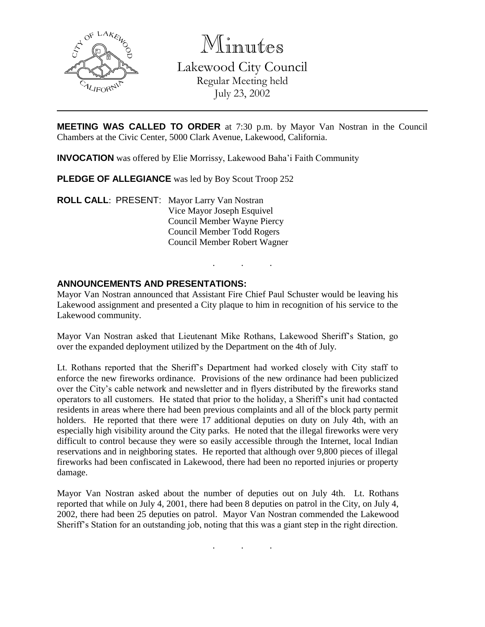

Minutes Lakewood City Council Regular Meeting held July 23, 2002

**MEETING WAS CALLED TO ORDER** at 7:30 p.m. by Mayor Van Nostran in the Council Chambers at the Civic Center, 5000 Clark Avenue, Lakewood, California.

**INVOCATION** was offered by Elie Morrissy, Lakewood Baha'i Faith Community

**PLEDGE OF ALLEGIANCE** was led by Boy Scout Troop 252

**ROLL CALL**: PRESENT: Mayor Larry Van Nostran Vice Mayor Joseph Esquivel Council Member Wayne Piercy Council Member Todd Rogers Council Member Robert Wagner

### **ANNOUNCEMENTS AND PRESENTATIONS:**

Mayor Van Nostran announced that Assistant Fire Chief Paul Schuster would be leaving his Lakewood assignment and presented a City plaque to him in recognition of his service to the Lakewood community.

. . .

Mayor Van Nostran asked that Lieutenant Mike Rothans, Lakewood Sheriff's Station, go over the expanded deployment utilized by the Department on the 4th of July.

Lt. Rothans reported that the Sheriff's Department had worked closely with City staff to enforce the new fireworks ordinance. Provisions of the new ordinance had been publicized over the City's cable network and newsletter and in flyers distributed by the fireworks stand operators to all customers. He stated that prior to the holiday, a Sheriff's unit had contacted residents in areas where there had been previous complaints and all of the block party permit holders. He reported that there were 17 additional deputies on duty on July 4th, with an especially high visibility around the City parks. He noted that the illegal fireworks were very difficult to control because they were so easily accessible through the Internet, local Indian reservations and in neighboring states. He reported that although over 9,800 pieces of illegal fireworks had been confiscated in Lakewood, there had been no reported injuries or property damage.

Mayor Van Nostran asked about the number of deputies out on July 4th. Lt. Rothans reported that while on July 4, 2001, there had been 8 deputies on patrol in the City, on July 4, 2002, there had been 25 deputies on patrol. Mayor Van Nostran commended the Lakewood Sheriff's Station for an outstanding job, noting that this was a giant step in the right direction.

. . .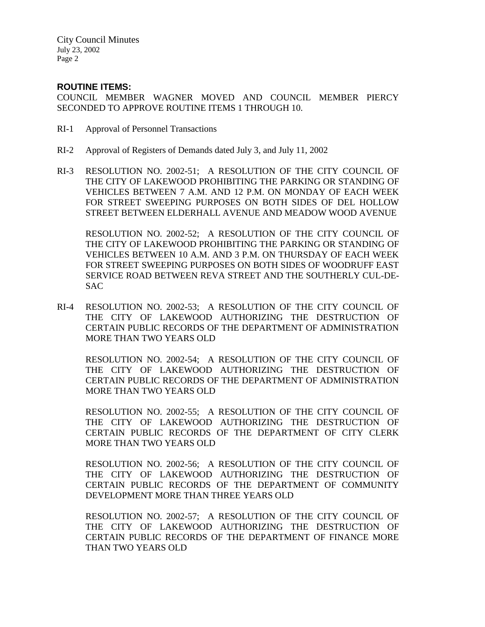City Council Minutes July 23, 2002 Page 2

### **ROUTINE ITEMS:**

COUNCIL MEMBER WAGNER MOVED AND COUNCIL MEMBER PIERCY SECONDED TO APPROVE ROUTINE ITEMS 1 THROUGH 10.

- RI-1 Approval of Personnel Transactions
- RI-2 Approval of Registers of Demands dated July 3, and July 11, 2002
- RI-3 RESOLUTION NO. 2002-51; A RESOLUTION OF THE CITY COUNCIL OF THE CITY OF LAKEWOOD PROHIBITING THE PARKING OR STANDING OF VEHICLES BETWEEN 7 A.M. AND 12 P.M. ON MONDAY OF EACH WEEK FOR STREET SWEEPING PURPOSES ON BOTH SIDES OF DEL HOLLOW STREET BETWEEN ELDERHALL AVENUE AND MEADOW WOOD AVENUE

RESOLUTION NO. 2002-52; A RESOLUTION OF THE CITY COUNCIL OF THE CITY OF LAKEWOOD PROHIBITING THE PARKING OR STANDING OF VEHICLES BETWEEN 10 A.M. AND 3 P.M. ON THURSDAY OF EACH WEEK FOR STREET SWEEPING PURPOSES ON BOTH SIDES OF WOODRUFF EAST SERVICE ROAD BETWEEN REVA STREET AND THE SOUTHERLY CUL-DE-SAC

RI-4 RESOLUTION NO. 2002-53; A RESOLUTION OF THE CITY COUNCIL OF THE CITY OF LAKEWOOD AUTHORIZING THE DESTRUCTION OF CERTAIN PUBLIC RECORDS OF THE DEPARTMENT OF ADMINISTRATION MORE THAN TWO YEARS OLD

RESOLUTION NO. 2002-54; A RESOLUTION OF THE CITY COUNCIL OF THE CITY OF LAKEWOOD AUTHORIZING THE DESTRUCTION OF CERTAIN PUBLIC RECORDS OF THE DEPARTMENT OF ADMINISTRATION MORE THAN TWO YEARS OLD

RESOLUTION NO. 2002-55; A RESOLUTION OF THE CITY COUNCIL OF THE CITY OF LAKEWOOD AUTHORIZING THE DESTRUCTION OF CERTAIN PUBLIC RECORDS OF THE DEPARTMENT OF CITY CLERK MORE THAN TWO YEARS OLD

RESOLUTION NO. 2002-56; A RESOLUTION OF THE CITY COUNCIL OF THE CITY OF LAKEWOOD AUTHORIZING THE DESTRUCTION OF CERTAIN PUBLIC RECORDS OF THE DEPARTMENT OF COMMUNITY DEVELOPMENT MORE THAN THREE YEARS OLD

RESOLUTION NO. 2002-57; A RESOLUTION OF THE CITY COUNCIL OF THE CITY OF LAKEWOOD AUTHORIZING THE DESTRUCTION OF CERTAIN PUBLIC RECORDS OF THE DEPARTMENT OF FINANCE MORE THAN TWO YEARS OLD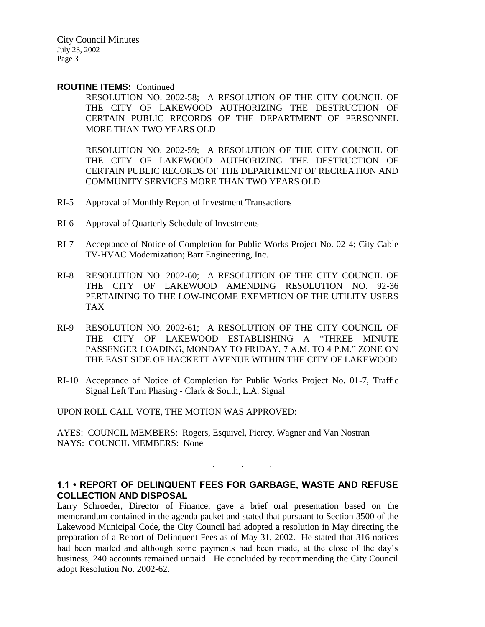City Council Minutes July 23, 2002 Page 3

#### **ROUTINE ITEMS:** Continued

RESOLUTION NO. 2002-58; A RESOLUTION OF THE CITY COUNCIL OF THE CITY OF LAKEWOOD AUTHORIZING THE DESTRUCTION OF CERTAIN PUBLIC RECORDS OF THE DEPARTMENT OF PERSONNEL MORE THAN TWO YEARS OLD

RESOLUTION NO. 2002-59; A RESOLUTION OF THE CITY COUNCIL OF THE CITY OF LAKEWOOD AUTHORIZING THE DESTRUCTION OF CERTAIN PUBLIC RECORDS OF THE DEPARTMENT OF RECREATION AND COMMUNITY SERVICES MORE THAN TWO YEARS OLD

- RI-5 Approval of Monthly Report of Investment Transactions
- RI-6 Approval of Quarterly Schedule of Investments
- RI-7 Acceptance of Notice of Completion for Public Works Project No. 02-4; City Cable TV-HVAC Modernization; Barr Engineering, Inc.
- RI-8 RESOLUTION NO. 2002-60; A RESOLUTION OF THE CITY COUNCIL OF THE CITY OF LAKEWOOD AMENDING RESOLUTION NO. 92-36 PERTAINING TO THE LOW-INCOME EXEMPTION OF THE UTILITY USERS TAX
- RI-9 RESOLUTION NO. 2002-61; A RESOLUTION OF THE CITY COUNCIL OF THE CITY OF LAKEWOOD ESTABLISHING A "THREE MINUTE PASSENGER LOADING, MONDAY TO FRIDAY, 7 A.M. TO 4 P.M." ZONE ON THE EAST SIDE OF HACKETT AVENUE WITHIN THE CITY OF LAKEWOOD
- RI-10 Acceptance of Notice of Completion for Public Works Project No. 01-7, Traffic Signal Left Turn Phasing - Clark & South, L.A. Signal

UPON ROLL CALL VOTE, THE MOTION WAS APPROVED:

AYES: COUNCIL MEMBERS: Rogers, Esquivel, Piercy, Wagner and Van Nostran NAYS: COUNCIL MEMBERS: None

## **1.1 • REPORT OF DELINQUENT FEES FOR GARBAGE, WASTE AND REFUSE COLLECTION AND DISPOSAL**

. . .

Larry Schroeder, Director of Finance, gave a brief oral presentation based on the memorandum contained in the agenda packet and stated that pursuant to Section 3500 of the Lakewood Municipal Code, the City Council had adopted a resolution in May directing the preparation of a Report of Delinquent Fees as of May 31, 2002. He stated that 316 notices had been mailed and although some payments had been made, at the close of the day's business, 240 accounts remained unpaid. He concluded by recommending the City Council adopt Resolution No. 2002-62.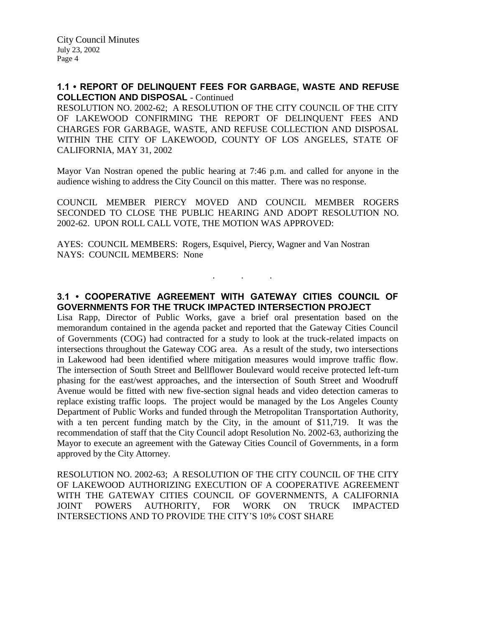## **1.1 • REPORT OF DELINQUENT FEES FOR GARBAGE, WASTE AND REFUSE COLLECTION AND DISPOSAL** - Continued

RESOLUTION NO. 2002-62; A RESOLUTION OF THE CITY COUNCIL OF THE CITY OF LAKEWOOD CONFIRMING THE REPORT OF DELINQUENT FEES AND CHARGES FOR GARBAGE, WASTE, AND REFUSE COLLECTION AND DISPOSAL WITHIN THE CITY OF LAKEWOOD, COUNTY OF LOS ANGELES, STATE OF CALIFORNIA, MAY 31, 2002

Mayor Van Nostran opened the public hearing at 7:46 p.m. and called for anyone in the audience wishing to address the City Council on this matter. There was no response.

COUNCIL MEMBER PIERCY MOVED AND COUNCIL MEMBER ROGERS SECONDED TO CLOSE THE PUBLIC HEARING AND ADOPT RESOLUTION NO. 2002-62. UPON ROLL CALL VOTE, THE MOTION WAS APPROVED:

AYES: COUNCIL MEMBERS: Rogers, Esquivel, Piercy, Wagner and Van Nostran NAYS: COUNCIL MEMBERS: None

# **3.1 • COOPERATIVE AGREEMENT WITH GATEWAY CITIES COUNCIL OF GOVERNMENTS FOR THE TRUCK IMPACTED INTERSECTION PROJECT**

. . .

Lisa Rapp, Director of Public Works, gave a brief oral presentation based on the memorandum contained in the agenda packet and reported that the Gateway Cities Council of Governments (COG) had contracted for a study to look at the truck-related impacts on intersections throughout the Gateway COG area. As a result of the study, two intersections in Lakewood had been identified where mitigation measures would improve traffic flow. The intersection of South Street and Bellflower Boulevard would receive protected left-turn phasing for the east/west approaches, and the intersection of South Street and Woodruff Avenue would be fitted with new five-section signal heads and video detection cameras to replace existing traffic loops. The project would be managed by the Los Angeles County Department of Public Works and funded through the Metropolitan Transportation Authority, with a ten percent funding match by the City, in the amount of \$11,719. It was the recommendation of staff that the City Council adopt Resolution No. 2002-63, authorizing the Mayor to execute an agreement with the Gateway Cities Council of Governments, in a form approved by the City Attorney.

RESOLUTION NO. 2002-63; A RESOLUTION OF THE CITY COUNCIL OF THE CITY OF LAKEWOOD AUTHORIZING EXECUTION OF A COOPERATIVE AGREEMENT WITH THE GATEWAY CITIES COUNCIL OF GOVERNMENTS, A CALIFORNIA JOINT POWERS AUTHORITY, FOR WORK ON TRUCK IMPACTED INTERSECTIONS AND TO PROVIDE THE CITY'S 10% COST SHARE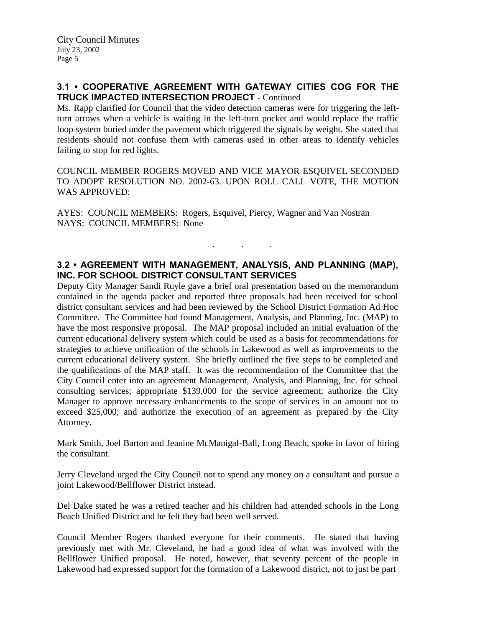# **3.1 • COOPERATIVE AGREEMENT WITH GATEWAY CITIES COG FOR THE TRUCK IMPACTED INTERSECTION PROJECT** - Continued

Ms. Rapp clarified for Council that the video detection cameras were for triggering the leftturn arrows when a vehicle is waiting in the left-turn pocket and would replace the traffic loop system buried under the pavement which triggered the signals by weight. She stated that residents should not confuse them with cameras used in other areas to identify vehicles failing to stop for red lights.

COUNCIL MEMBER ROGERS MOVED AND VICE MAYOR ESQUIVEL SECONDED TO ADOPT RESOLUTION NO. 2002-63. UPON ROLL CALL VOTE, THE MOTION WAS APPROVED:

AYES: COUNCIL MEMBERS: Rogers, Esquivel, Piercy, Wagner and Van Nostran NAYS: COUNCIL MEMBERS: None

# **3.2 • AGREEMENT WITH MANAGEMENT, ANALYSIS, AND PLANNING (MAP), INC. FOR SCHOOL DISTRICT CONSULTANT SERVICES**

. . .

Deputy City Manager Sandi Ruyle gave a brief oral presentation based on the memorandum contained in the agenda packet and reported three proposals had been received for school district consultant services and had been reviewed by the School District Formation Ad Hoc Committee. The Committee had found Management, Analysis, and Planning, Inc. (MAP) to have the most responsive proposal. The MAP proposal included an initial evaluation of the current educational delivery system which could be used as a basis for recommendations for strategies to achieve unification of the schools in Lakewood as well as improvements to the current educational delivery system. She briefly outlined the five steps to be completed and the qualifications of the MAP staff. It was the recommendation of the Committee that the City Council enter into an agreement Management, Analysis, and Planning, Inc. for school consulting services; appropriate \$139,000 for the service agreement; authorize the City Manager to approve necessary enhancements to the scope of services in an amount not to exceed \$25,000; and authorize the execution of an agreement as prepared by the City Attorney.

Mark Smith, Joel Barton and Jeanine McManigal-Ball, Long Beach, spoke in favor of hiring the consultant.

Jerry Cleveland urged the City Council not to spend any money on a consultant and pursue a joint Lakewood/Bellflower District instead.

Del Dake stated he was a retired teacher and his children had attended schools in the Long Beach Unified District and he felt they had been well served.

Council Member Rogers thanked everyone for their comments. He stated that having previously met with Mr. Cleveland, he had a good idea of what was involved with the Bellflower Unified proposal. He noted, however, that seventy percent of the people in Lakewood had expressed support for the formation of a Lakewood district, not to just be part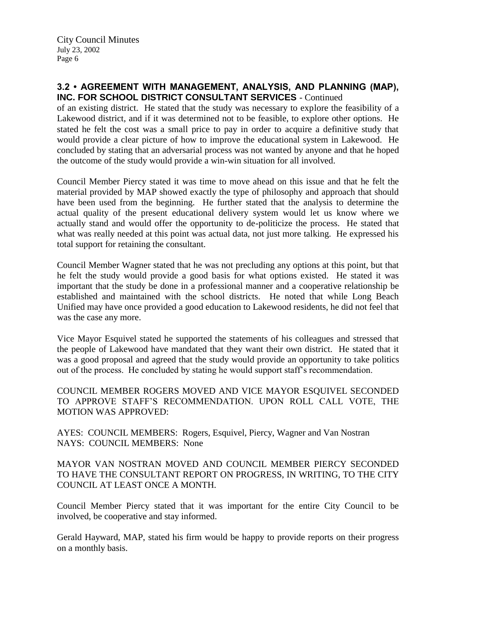## **3.2 • AGREEMENT WITH MANAGEMENT, ANALYSIS, AND PLANNING (MAP), INC. FOR SCHOOL DISTRICT CONSULTANT SERVICES** - Continued

of an existing district. He stated that the study was necessary to explore the feasibility of a Lakewood district, and if it was determined not to be feasible, to explore other options. He stated he felt the cost was a small price to pay in order to acquire a definitive study that would provide a clear picture of how to improve the educational system in Lakewood. He concluded by stating that an adversarial process was not wanted by anyone and that he hoped the outcome of the study would provide a win-win situation for all involved.

Council Member Piercy stated it was time to move ahead on this issue and that he felt the material provided by MAP showed exactly the type of philosophy and approach that should have been used from the beginning. He further stated that the analysis to determine the actual quality of the present educational delivery system would let us know where we actually stand and would offer the opportunity to de-politicize the process. He stated that what was really needed at this point was actual data, not just more talking. He expressed his total support for retaining the consultant.

Council Member Wagner stated that he was not precluding any options at this point, but that he felt the study would provide a good basis for what options existed. He stated it was important that the study be done in a professional manner and a cooperative relationship be established and maintained with the school districts. He noted that while Long Beach Unified may have once provided a good education to Lakewood residents, he did not feel that was the case any more.

Vice Mayor Esquivel stated he supported the statements of his colleagues and stressed that the people of Lakewood have mandated that they want their own district. He stated that it was a good proposal and agreed that the study would provide an opportunity to take politics out of the process. He concluded by stating he would support staff's recommendation.

COUNCIL MEMBER ROGERS MOVED AND VICE MAYOR ESQUIVEL SECONDED TO APPROVE STAFF'S RECOMMENDATION. UPON ROLL CALL VOTE, THE MOTION WAS APPROVED:

AYES: COUNCIL MEMBERS: Rogers, Esquivel, Piercy, Wagner and Van Nostran NAYS: COUNCIL MEMBERS: None

MAYOR VAN NOSTRAN MOVED AND COUNCIL MEMBER PIERCY SECONDED TO HAVE THE CONSULTANT REPORT ON PROGRESS, IN WRITING, TO THE CITY COUNCIL AT LEAST ONCE A MONTH.

Council Member Piercy stated that it was important for the entire City Council to be involved, be cooperative and stay informed.

Gerald Hayward, MAP, stated his firm would be happy to provide reports on their progress on a monthly basis.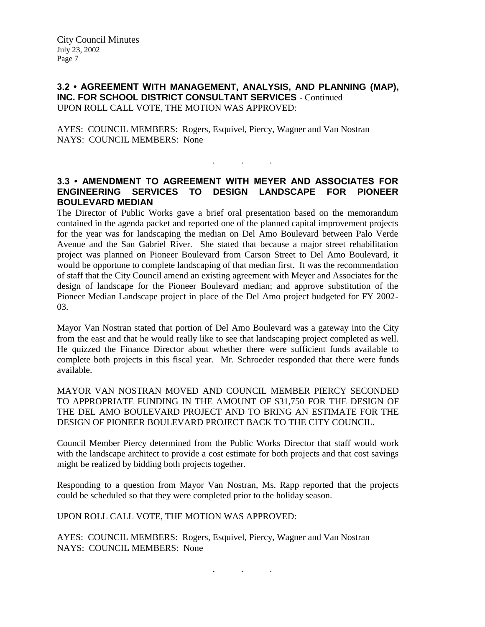## **3.2 • AGREEMENT WITH MANAGEMENT, ANALYSIS, AND PLANNING (MAP), INC. FOR SCHOOL DISTRICT CONSULTANT SERVICES** - Continued UPON ROLL CALL VOTE, THE MOTION WAS APPROVED:

AYES: COUNCIL MEMBERS: Rogers, Esquivel, Piercy, Wagner and Van Nostran NAYS: COUNCIL MEMBERS: None

## **3.3 • AMENDMENT TO AGREEMENT WITH MEYER AND ASSOCIATES FOR ENGINEERING SERVICES TO DESIGN LANDSCAPE FOR PIONEER BOULEVARD MEDIAN**

. . .

The Director of Public Works gave a brief oral presentation based on the memorandum contained in the agenda packet and reported one of the planned capital improvement projects for the year was for landscaping the median on Del Amo Boulevard between Palo Verde Avenue and the San Gabriel River. She stated that because a major street rehabilitation project was planned on Pioneer Boulevard from Carson Street to Del Amo Boulevard, it would be opportune to complete landscaping of that median first. It was the recommendation of staff that the City Council amend an existing agreement with Meyer and Associates for the design of landscape for the Pioneer Boulevard median; and approve substitution of the Pioneer Median Landscape project in place of the Del Amo project budgeted for FY 2002- 03.

Mayor Van Nostran stated that portion of Del Amo Boulevard was a gateway into the City from the east and that he would really like to see that landscaping project completed as well. He quizzed the Finance Director about whether there were sufficient funds available to complete both projects in this fiscal year. Mr. Schroeder responded that there were funds available.

MAYOR VAN NOSTRAN MOVED AND COUNCIL MEMBER PIERCY SECONDED TO APPROPRIATE FUNDING IN THE AMOUNT OF \$31,750 FOR THE DESIGN OF THE DEL AMO BOULEVARD PROJECT AND TO BRING AN ESTIMATE FOR THE DESIGN OF PIONEER BOULEVARD PROJECT BACK TO THE CITY COUNCIL.

Council Member Piercy determined from the Public Works Director that staff would work with the landscape architect to provide a cost estimate for both projects and that cost savings might be realized by bidding both projects together.

Responding to a question from Mayor Van Nostran, Ms. Rapp reported that the projects could be scheduled so that they were completed prior to the holiday season.

UPON ROLL CALL VOTE, THE MOTION WAS APPROVED:

AYES: COUNCIL MEMBERS: Rogers, Esquivel, Piercy, Wagner and Van Nostran NAYS: COUNCIL MEMBERS: None

. . .